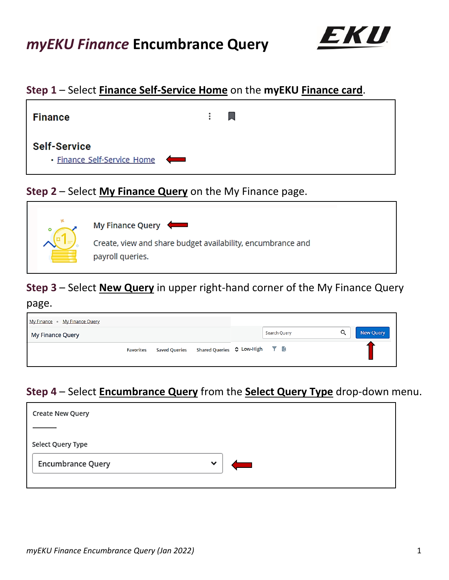

## **Step 1** – Select **Finance Self-Service Home** on the **myEKU Finance card**.



## **Step 2** – Select **My Finance Query** on the My Finance page.



# **Step 3** – Select **New Query** in upper right-hand corner of the My Finance Query

#### page.

| My Finance • My Finance Query |                  |                      |                                             |              |   |           |
|-------------------------------|------------------|----------------------|---------------------------------------------|--------------|---|-----------|
| My Finance Query              |                  |                      |                                             | Search Query | Q | New Query |
|                               | <b>Favorites</b> | <b>Saved Queries</b> | Shared Queries $\Diamond$ Low-High $\top$ a |              |   |           |

## **Step 4** – Select **Encumbrance Query** from the **Select Query Type** drop-down menu.

| Create New Query         |             |  |  |
|--------------------------|-------------|--|--|
|                          |             |  |  |
| Select Query Type        |             |  |  |
| <b>Encumbrance Query</b> | $\check{ }$ |  |  |
|                          |             |  |  |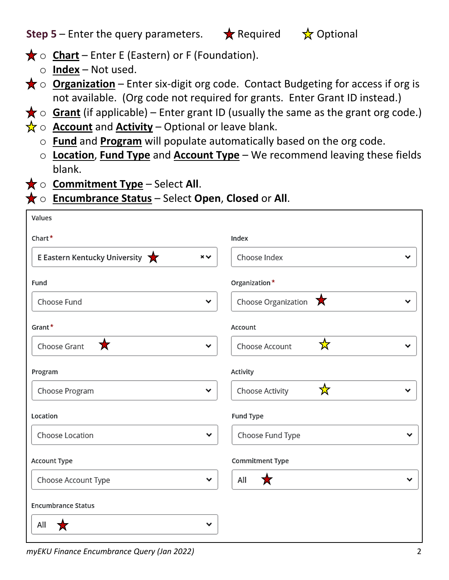| $\star$ o <b>Chart</b> – Enter E (Eastern) or F (Foundation). |
|---------------------------------------------------------------|
| $\circ$ Index – Not used.                                     |
| $\star \circ$ Organization – Enter six-digit org code. Cont   |

- tact Budgeting for access if org is not available. (Org code not required for grants. Enter Grant ID instead.)
- $\bigstar$   $\circ$  **Grant** (if applicable) Enter grant ID (usually the same as the grant org code.)
- $\frac{1}{X}$   $\circ$  **Account** and **Activity** Optional or leave blank.
	- o **Fund** and **Program** will populate automatically based on the org code.
	- o **Location**, **Fund Type** and **Account Type** We recommend leaving these fields blank.
- **★ o Commitment Type** Select All.
- **★ o Encumbrance Status** Select Open, Closed or All.

| Values                                    |                                                  |
|-------------------------------------------|--------------------------------------------------|
| Chart*                                    | Index                                            |
| E Eastern Kentucky University<br>$\times$ | Choose Index<br>v                                |
| Fund                                      | Organization*                                    |
| Choose Fund                               | Choose Organization $\mathbf{\overline{X}}$<br>v |
| Grant*                                    | Account                                          |
| 大<br>Choose Grant                         | ☆<br>Choose Account<br>v<br>v                    |
| Program                                   | Activity                                         |
| Choose Program                            | ☆<br>Choose Activity<br>v<br>v                   |
| Location                                  | Fund Type                                        |
| Choose Location                           | Choose Fund Type<br>v<br>v                       |
| Account Type                              | Commitment Type                                  |
| Choose Account Type                       | All<br>★<br>⌄<br>v                               |
| <b>Encumbrance Status</b>                 |                                                  |
| All                                       | v                                                |

**Step 5** – Enter the query parameters.  $\star$  Required  $\star$  Optional